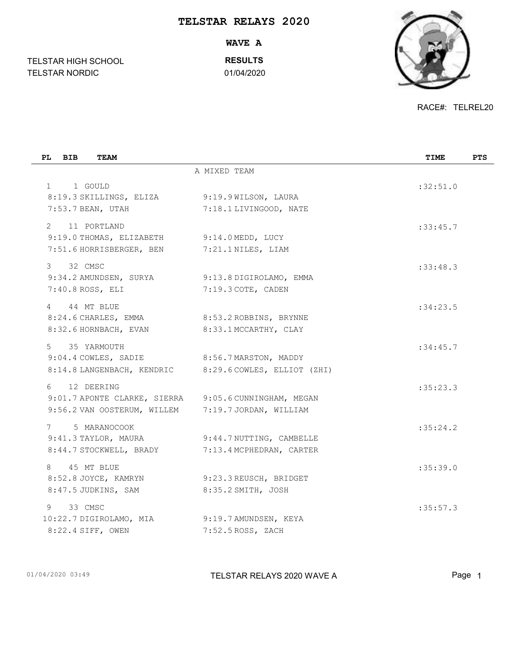## **TELSTAR RELAYS 2020**

TELSTAR NORDIC 01/04/2020 **WAVE A RESULTS**

RACE#: TELREL20

| PL BIB<br><b>TEAM</b>                                                                                                        |                                                      | TIME     | <b>PTS</b> |
|------------------------------------------------------------------------------------------------------------------------------|------------------------------------------------------|----------|------------|
|                                                                                                                              | A MIXED TEAM                                         |          |            |
| $1 \quad \Box$<br>1 GOULD<br>8:19.3 SKILLINGS, ELIZA<br>7:53.7 BEAN, UTAH                                                    | 9:19.9 WILSON, LAURA<br>7:18.1 LIVINGOOD, NATE       | :32:51.0 |            |
| 11 PORTLAND<br>$2^{\circ}$<br>9:19.0 THOMAS, ELIZABETH 9:14.0 MEDD, LUCY<br>7:51.6 HORRISBERGER, BEN                         | 7:21.1 NILES, LIAM                                   | :33:45.7 |            |
| 32 CMSC<br>3<br>9:34.2 AMUNDSEN, SURYA<br>$7:40.8$ ROSS, ELI                                                                 | 9:13.8 DIGIROLAMO, EMMA<br>7:19.3 COTE, CADEN        | :33:48.3 |            |
| 44 MT BLUE<br>$\overline{4}$<br>8:24.6 CHARLES, EMMA<br>8:32.6 HORNBACH, EVAN                                                | 8:53.2 ROBBINS, BRYNNE<br>8:33.1 MCCARTHY, CLAY      | :34:23.5 |            |
| $5 -$<br>35 YARMOUTH<br>9:04.4 COWLES, SADIE 8:56.7 MARSTON, MADDY<br>8:14.8 LANGENBACH, KENDRIC 8:29.6 COWLES, ELLIOT (ZHI) |                                                      | :34:45.7 |            |
| 6<br>12 DEERING<br>9:01.7 APONTE CLARKE, SIERRA 9:05.6 CUNNINGHAM, MEGAN<br>9:56.2 VAN OOSTERUM, WILLEM                      | 7:19.7 JORDAN, WILLIAM                               | :35:23.3 |            |
| 7<br>5 MARANOCOOK<br>9:41.3 TAYLOR, MAURA<br>8:44.7 STOCKWELL, BRADY                                                         | 9:44.7 NUTTING, CAMBELLE<br>7:13.4 MCPHEDRAN, CARTER | :35:24.2 |            |
| 8<br>45 MT BLUE<br>8:52.8 JOYCE, KAMRYN<br>8:47.5 JUDKINS, SAM                                                               | 9:23.3 REUSCH, BRIDGET<br>8:35.2 SMITH, JOSH         | :35:39.0 |            |
| 33 CMSC<br>9<br>10:22.7 DIGIROLAMO, MIA<br>8:22.4 SIFF, OWEN                                                                 | 9:19.7 AMUNDSEN, KEYA<br>$7:52.5$ ROSS, ZACH         | :35:57.3 |            |

TELSTAR HIGH SCHOOL

01/04/2020 03:49 TELSTAR RELAYS 2020 WAVE A Page 1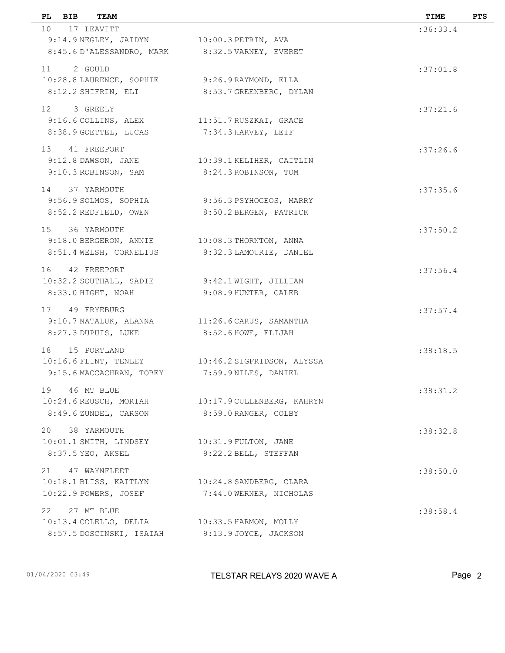| PL.<br>BIB     | TEAM                                        |                                                   | TIME     | <b>PTS</b> |
|----------------|---------------------------------------------|---------------------------------------------------|----------|------------|
| 10 17 LEAVITT  |                                             |                                                   | :36:33.4 |            |
|                | 9:14.9 NEGLEY, JAIDYN 10:00.3 PETRIN, AVA   |                                                   |          |            |
|                |                                             | 8:45.6 D'ALESSANDRO, MARK 8:32.5 VARNEY, EVERET   |          |            |
| 11 2 GOULD     |                                             |                                                   | :37:01.8 |            |
|                |                                             | 10:28.8 LAURENCE, SOPHIE 9:26.9 RAYMOND, ELLA     |          |            |
|                | 8:12.2 SHIFRIN, ELI                         | 8:53.7 GREENBERG, DYLAN                           |          |            |
|                |                                             |                                                   |          |            |
| 12 3 GREELY    |                                             | 9:16.6 COLLINS, ALEX 11:51.7 RUSZKAI, GRACE       | :37:21.6 |            |
|                | 8:38.9 GOETTEL, LUCAS                       | 7:34.3 HARVEY, LEIF                               |          |            |
|                |                                             |                                                   |          |            |
| 13 41 FREEPORT |                                             |                                                   | :37:26.6 |            |
|                |                                             | 9:12.8 DAWSON, JANE 10:39.1 KELIHER, CAITLIN      |          |            |
|                | 9:10.3 ROBINSON, SAM                        | 8:24.3 ROBINSON, TOM                              |          |            |
| 14 37 YARMOUTH |                                             |                                                   | :37:35.6 |            |
|                | 9:56.9 SOLMOS, SOPHIA                       | 9:56.3 PSYHOGEOS, MARRY                           |          |            |
|                | 8:52.2 REDFIELD, OWEN                       | 8:50.2 BERGEN, PATRICK                            |          |            |
| 15 36 YARMOUTH |                                             |                                                   | :37:50.2 |            |
|                |                                             | 9:18.0 BERGERON, ANNIE 10:08.3 THORNTON, ANNA     |          |            |
|                |                                             | 8:51.4 WELSH, CORNELIUS 9:32.3 LAMOURIE, DANIEL   |          |            |
|                |                                             |                                                   |          |            |
| 16 42 FREEPORT |                                             |                                                   | :37:56.4 |            |
|                |                                             | 10:32.2 SOUTHALL, SADIE 9:42.1 WIGHT, JILLIAN     |          |            |
|                | 8:33.0 HIGHT, NOAH                          | 9:08.9 HUNTER, CALEB                              |          |            |
| 17 49 FRYEBURG |                                             |                                                   | :37:57.4 |            |
|                |                                             | 9:10.7 NATALUK, ALANNA 11:26.6 CARUS, SAMANTHA    |          |            |
|                | 8:27.3 DUPUIS, LUKE                         | 8:52.6 HOWE, ELIJAH                               |          |            |
| 18 15 PORTLAND |                                             |                                                   | :38:18.5 |            |
|                |                                             | 10:16.6 FLINT, TENLEY 10:46.2 SIGFRIDSON, ALYSSA  |          |            |
|                |                                             | 9:15.6 MACCACHRAN, TOBEY 7:59.9 NILES, DANIEL     |          |            |
|                |                                             |                                                   |          |            |
| 19 46 MT BLUE  |                                             | 10:24.6 REUSCH, MORIAH 10:17.9 CULLENBERG, KAHRYN | :38:31.2 |            |
|                | 8:49.6 ZUNDEL, CARSON                       | 8:59.0 RANGER, COLBY                              |          |            |
|                |                                             |                                                   |          |            |
| 20 38 YARMOUTH |                                             |                                                   | :38:32.8 |            |
|                | 10:01.1 SMITH, LINDSEY 10:31.9 FULTON, JANE |                                                   |          |            |
|                | 8:37.5 YEO, AKSEL                           | 9:22.2 BELL, STEFFAN                              |          |            |
| 21             | 47 WAYNFLEET                                |                                                   | :38:50.0 |            |
|                | 10:18.1 BLISS, KAITLYN                      | $10:24.8$ SANDBERG, CLARA                         |          |            |
|                | 10:22.9 POWERS, JOSEF                       | 7:44.0 WERNER, NICHOLAS                           |          |            |
| 22             | 27 MT BLUE                                  |                                                   | :38:58.4 |            |
|                |                                             | 10:13.4 COLELLO, DELIA 10:33.5 HARMON, MOLLY      |          |            |
|                |                                             | 8:57.5 DOSCINSKI, ISAIAH 9:13.9 JOYCE, JACKSON    |          |            |
|                |                                             |                                                   |          |            |
|                |                                             |                                                   |          |            |

01/04/2020 03:49 TELSTAR RELAYS 2020 WAVE A Page 2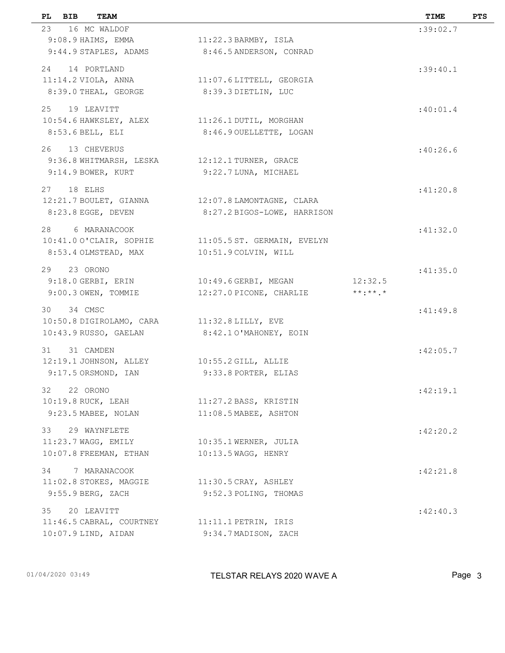|    | PL BIB        | <b>TEAM</b>              |                                                    |             | TIME     | <b>PTS</b> |
|----|---------------|--------------------------|----------------------------------------------------|-------------|----------|------------|
| 23 |               | 16 MC WALDOF             |                                                    |             | :39:02.7 |            |
|    |               | 9:08.9 HAIMS, EMMA       | $11:22.3$ BARMBY, ISLA                             |             |          |            |
|    |               | 9:44.9 STAPLES, ADAMS    | 8:46.5 ANDERSON, CONRAD                            |             |          |            |
|    |               | 24 14 PORTLAND           |                                                    |             | :39:40.1 |            |
|    |               |                          | 11:14.2 VIOLA, ANNA 11:07.6 LITTELL, GEORGIA       |             |          |            |
|    |               | 8:39.0 THEAL, GEORGE     | 8:39.3 DIETLIN, LUC                                |             |          |            |
|    | 25 19 LEAVITT |                          |                                                    |             | :40:01.4 |            |
|    |               |                          | 10:54.6 HAWKSLEY, ALEX 11:26.1 DUTIL, MORGHAN      |             |          |            |
|    |               | $8:53.6$ BELL, ELI       | 8:46.9 OUELLETTE, LOGAN                            |             |          |            |
|    |               |                          |                                                    |             |          |            |
|    |               | 26 13 CHEVERUS           |                                                    |             | :40:26.6 |            |
|    |               |                          | 9:36.8 WHITMARSH, LESKA 12:12.1 TURNER, GRACE      |             |          |            |
|    |               |                          | 9:14.9 BOWER, KURT 9:22.7 LUNA, MICHAEL            |             |          |            |
|    | 27 18 ELHS    |                          |                                                    |             | :41:20.8 |            |
|    |               |                          | 12:21.7 BOULET, GIANNA 12:07.8 LAMONTAGNE, CLARA   |             |          |            |
|    |               | 8:23.8 EGGE, DEVEN       | 8:27.2 BIGOS-LOWE, HARRISON                        |             |          |            |
|    |               | 28 6 MARANACOOK          |                                                    |             | :41:32.0 |            |
|    |               |                          | 10:41.00'CLAIR, SOPHIE 11:05.5 ST. GERMAIN, EVELYN |             |          |            |
|    |               | 8:53.4 OLMSTEAD, MAX     | 10:51.9 COLVIN, WILL                               |             |          |            |
|    | 29 23 ORONO   |                          |                                                    |             | :41:35.0 |            |
|    |               |                          | $9:18.0$ GERBI, ERIN $10:49.6$ GERBI, MEGAN        | 12:32.5     |          |            |
|    |               | 9:00.3 OWEN, TOMMIE      | 12:27.0 PICONE, CHARLIE                            | $***.**$ .* |          |            |
|    |               |                          |                                                    |             |          |            |
|    | 30 34 CMSC    |                          | 10:50.8 DIGIROLAMO, CARA 11:32.8 LILLY, EVE        |             | :41:49.8 |            |
|    |               | 10:43.9 RUSSO, GAELAN    | 8:42.10'MAHONEY, EOIN                              |             |          |            |
|    |               |                          |                                                    |             |          |            |
|    | 31 31 CAMDEN  |                          |                                                    |             | :42:05.7 |            |
|    |               |                          | 12:19.1 JOHNSON, ALLEY 10:55.2 GILL, ALLIE         |             |          |            |
|    |               | 9:17.5 ORSMOND, IAN      | 9:33.8 PORTER, ELIAS                               |             |          |            |
|    | 32 22 ORONO   |                          |                                                    |             | :42:19.1 |            |
|    |               | 10:19.8 RUCK, LEAH       | 11:27.2 BASS, KRISTIN                              |             |          |            |
|    |               | 9:23.5 MABEE, NOLAN      | 11:08.5 MABEE, ASHTON                              |             |          |            |
| 33 |               | 29 WAYNFLETE             |                                                    |             | :42:20.2 |            |
|    |               | $11:23.7$ WAGG, EMILY    | 10:35.1 WERNER, JULIA                              |             |          |            |
|    |               | $10:07.8$ FREEMAN, ETHAN | 10:13.5 WAGG, HENRY                                |             |          |            |
|    | 34            | 7 MARANACOOK             |                                                    |             | :42:21.8 |            |
|    |               | $11:02.8$ STOKES, MAGGIE | $11:30.5$ CRAY, ASHLEY                             |             |          |            |
|    |               | 9:55.9 BERG, ZACH        | 9:52.3 POLING, THOMAS                              |             |          |            |
|    |               |                          |                                                    |             |          |            |
| 35 |               | 20 LEAVITT               | 11:46.5 CABRAL, COURTNEY 11:11.1 PETRIN, IRIS      |             | :42:40.3 |            |
|    |               | $10:07.9$ LIND, AIDAN    | 9:34.7 MADISON, ZACH                               |             |          |            |
|    |               |                          |                                                    |             |          |            |
|    |               |                          |                                                    |             |          |            |

01/04/2020 03:49 TELSTAR RELAYS 2020 WAVE A Page 3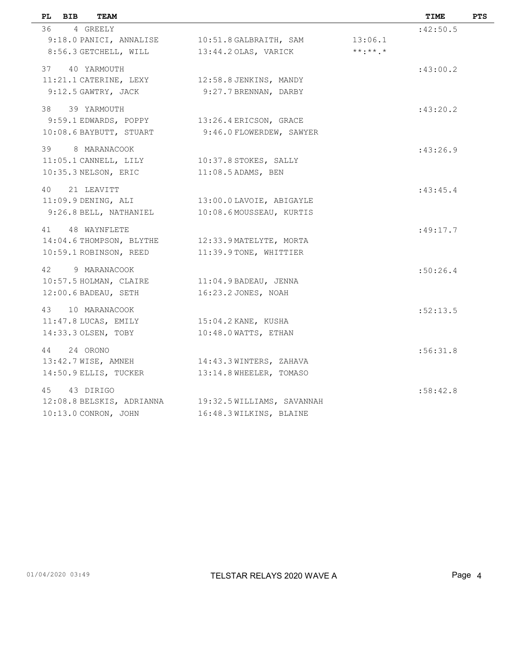| PL.<br>BIB<br>TEAM                               |                                                      |             | TIME     | <b>PTS</b> |
|--------------------------------------------------|------------------------------------------------------|-------------|----------|------------|
| 36 4 GREELY                                      |                                                      |             | :42:50.5 |            |
| 9:18.0 PANICI, ANNALISE 10:51.8 GALBRAITH, SAM   |                                                      | 13:06.1     |          |            |
| 8:56.3 GETCHELL, WILL 13:44.2 OLAS, VARICK       |                                                      | $***.**$ .* |          |            |
| 37 40 YARMOUTH                                   |                                                      |             | :43:00.2 |            |
| 11:21.1 CATERINE, LEXY 12:58.8 JENKINS, MANDY    |                                                      |             |          |            |
| 9:12.5 GAWTRY, JACK                              | 9:27.7 BRENNAN, DARBY                                |             |          |            |
| 38 39 YARMOUTH                                   |                                                      |             | :43:20.2 |            |
| 9:59.1 EDWARDS, POPPY                            | 13:26.4 ERICSON, GRACE                               |             |          |            |
| 10:08.6 BAYBUTT, STUART                          | 9:46.0 FLOWERDEW, SAWYER                             |             |          |            |
| 39 8 MARANACOOK                                  |                                                      |             | :43:26.9 |            |
| 11:05.1 CANNELL, LILY 10:37.8 STOKES, SALLY      |                                                      |             |          |            |
| 10:35.3 NELSON, ERIC                             | $11:08.5$ ADAMS, BEN                                 |             |          |            |
| 40 21 LEAVITT                                    |                                                      |             | :43:45.4 |            |
| $11:09.9$ DENING, ALI                            | 13:00.0 LAVOIE, ABIGAYLE                             |             |          |            |
| 9:26.8 BELL, NATHANIEL                           | 10:08.6 MOUSSEAU, KURTIS                             |             |          |            |
| 41 48 WAYNFLETE                                  |                                                      |             | :49:17.7 |            |
| 14:04.6 THOMPSON, BLYTHE 12:33.9 MATELYTE, MORTA |                                                      |             |          |            |
| 10:59.1 ROBINSON, REED 11:39.9 TONE, WHITTIER    |                                                      |             |          |            |
| 42 9 MARANACOOK                                  |                                                      |             | :50:26.4 |            |
| 10:57.5 HOLMAN, CLAIRE 11:04.9 BADEAU, JENNA     |                                                      |             |          |            |
| $12:00.6$ BADEAU, SETH                           | 16:23.2 JONES, NOAH                                  |             |          |            |
| 43 10 MARANACOOK                                 |                                                      |             | :52:13.5 |            |
| 11:47.8 LUCAS, EMILY                             | $15:04.2$ KANE, KUSHA                                |             |          |            |
| 14:33.3 OLSEN, TOBY                              | 10:48.0 WATTS, ETHAN                                 |             |          |            |
| 44 24 ORONO                                      |                                                      |             | :56:31.8 |            |
| 13:42.7 WISE, AMNEH 14:43.3 WINTERS, ZAHAVA      |                                                      |             |          |            |
| 14:50.9 ELLIS, TUCKER                            | 13:14.8 WHEELER, TOMASO                              |             |          |            |
| 45 43 DIRIGO                                     |                                                      |             | :58:42.8 |            |
|                                                  | 12:08.8 BELSKIS, ADRIANNA 19:32.5 WILLIAMS, SAVANNAH |             |          |            |
| 10:13.0 CONRON, JOHN                             | 16:48.3 WILKINS, BLAINE                              |             |          |            |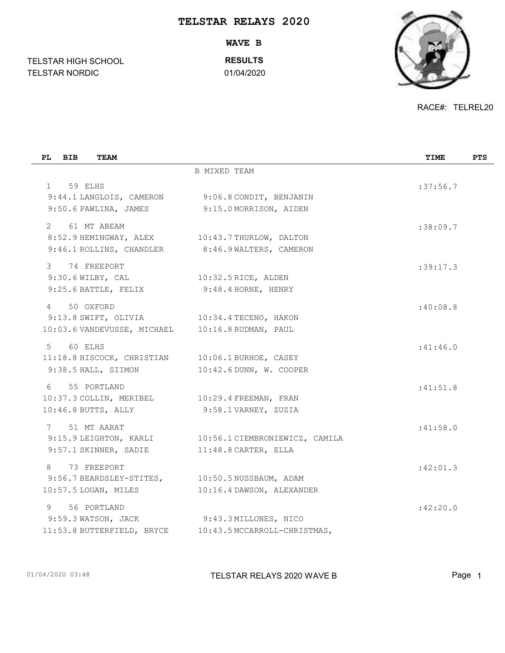## **TELSTAR RELAYS 2020**

TELSTAR NORDIC 01/04/2020 **WAVE B RESULTS**

RACE#: TELREL20

| PL BIB<br>TEAM                                                                                                                   |                                                                                    | TIME     | <b>PTS</b> |
|----------------------------------------------------------------------------------------------------------------------------------|------------------------------------------------------------------------------------|----------|------------|
|                                                                                                                                  | <b>B MIXED TEAM</b>                                                                |          |            |
| 59 ELHS<br>$1 \quad$<br>9:44.1 LANGLOIS, CAMERON 9:06.8 CONDIT, BENJANIN<br>9:50.6 PAWLINA, JAMES                                | 9:15.0 MORRISON, AIDEN                                                             | :37:56.7 |            |
| 61 MT ABEAM<br>$2^{\circ}$<br>8:52.9 HEMINGWAY, ALEX 10:43.7 THURLOW, DALTON<br>9:46.1 ROLLINS, CHANDLER 8:46.9 WALTERS, CAMERON |                                                                                    | :38:09.7 |            |
| $\mathcal{E}$<br>74 FREEPORT<br>$9:30.6$ WILBY, CAL<br>9:25.6 BATTLE, FELIX                                                      | $10:32.5$ RICE, ALDEN<br>9:48.4 HORNE, HENRY                                       | :39:17.3 |            |
| 50 OXFORD<br>$\overline{4}$<br>9:13.8 SWIFT, OLIVIA 10:34.4 TECENO, HAKON<br>10:03.6 VANDEVUSSE, MICHAEL 10:16.8 RUDMAN, PAUL    |                                                                                    | :40:08.8 |            |
| 60 ELHS<br>$5 -$<br>11:18.8 HISCOCK, CHRISTIAN 10:06.1 BURHOE, CASEY<br>9:38.5 HALL, SIIMON                                      | 10:42.6 DUNN, W. COOPER                                                            | :41:46.0 |            |
| 6 55 PORTLAND<br>10:37.3 COLLIN, MERIBEL 10:29.4 FREEMAN, FRAN<br>$10:46.8$ BUTTS, ALLY                                          | 9:58.1 VARNEY, ZUZIA                                                               | :41:51.8 |            |
| 51 MT AARAT<br>7<br>9:57.1 SKINNER, SADIE                                                                                        | 9:15.9 LEIGHTON, KARLI 10:56.1 CIEMBRONIEWICZ, CAMILA<br>11:48.8 CARTER, ELLA      | :41:58.0 |            |
| 73 FREEPORT<br>8<br>9:56.7 BEARDSLEY-STITES,<br>10:57.5 LOGAN, MILES                                                             | 10:50.5 NUSSBAUM, ADAM<br>10:16.4 DAWSON, ALEXANDER                                | :42:01.3 |            |
| 9<br>56 PORTLAND<br>9:59.3 WATSON, JACK                                                                                          | $9:43.3$ MILLONES, NICO<br>11:53.8 BUTTERFIELD, BRYCE 10:43.5 MCCARROLL-CHRISTMAS, | :42:20.0 |            |

TELSTAR HIGH SCHOOL

01/04/2020 03:48 **Page 1** TELSTAR RELAYS 2020 WAVE B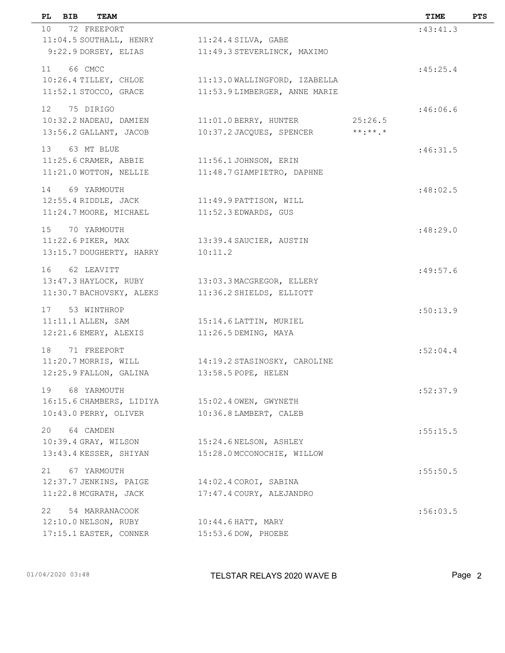| BIB<br>PL. | TEAM                                 |                                                 |                 | TIME     | <b>PTS</b> |
|------------|--------------------------------------|-------------------------------------------------|-----------------|----------|------------|
|            | 10 72 FREEPORT                       |                                                 |                 | :43:41.3 |            |
|            | 11:04.5 SOUTHALL, HENRY              | $11:24.4$ SILVA, GABE                           |                 |          |            |
|            | 9:22.9 DORSEY, ELIAS                 | 11:49.3 STEVERLINCK, MAXIMO                     |                 |          |            |
| 11 66 CMCC |                                      |                                                 |                 | :45:25.4 |            |
|            | 10:26.4 TILLEY, CHLOE                | 11:13.0 WALLINGFORD, IZABELLA                   |                 |          |            |
|            | 11:52.1 STOCCO, GRACE                | 11:53.9 LIMBERGER, ANNE MARIE                   |                 |          |            |
|            |                                      |                                                 |                 |          |            |
|            | 12 75 DIRIGO                         |                                                 | 25:26.5         | :46:06.6 |            |
|            | 10:32.2 NADEAU, DAMIEN               | 11:01.0 BERRY, HUNTER                           | $***$ : * * . * |          |            |
|            | 13:56.2 GALLANT, JACOB               | 10:37.2 JACQUES, SPENCER                        |                 |          |            |
|            | 13 63 MT BLUE                        |                                                 |                 | :46:31.5 |            |
|            | 11:25.6 CRAMER, ABBIE                | 11:56.1 JOHNSON, ERIN                           |                 |          |            |
|            | 11:21.0 WOTTON, NELLIE               | 11:48.7 GIAMPIETRO, DAPHNE                      |                 |          |            |
|            | 14 69 YARMOUTH                       |                                                 |                 | :48:02.5 |            |
|            | 12:55.4 RIDDLE, JACK                 | 11:49.9 PATTISON, WILL                          |                 |          |            |
|            | 11:24.7 MOORE, MICHAEL               | 11:52.3 EDWARDS, GUS                            |                 |          |            |
|            |                                      |                                                 |                 |          |            |
|            | 15 70 YARMOUTH<br>11:22.6 PIKER, MAX |                                                 |                 | :48:29.0 |            |
|            | 13:15.7 DOUGHERTY, HARRY             | 13:39.4 SAUCIER, AUSTIN<br>10:11.2              |                 |          |            |
|            |                                      |                                                 |                 |          |            |
|            | 16 62 LEAVITT                        |                                                 |                 | :49:57.6 |            |
|            |                                      | 13:47.3 HAYLOCK, RUBY 13:03.3 MACGREGOR, ELLERY |                 |          |            |
|            | 11:30.7 BACHOVSKY, ALEKS             | 11:36.2 SHIELDS, ELLIOTT                        |                 |          |            |
|            | 17 53 WINTHROP                       |                                                 |                 | :50:13.9 |            |
|            | $11:11.1$ ALLEN, SAM                 | 15:14.6 LATTIN, MURIEL                          |                 |          |            |
|            | 12:21.6 EMERY, ALEXIS                | 11:26.5 DEMING, MAYA                            |                 |          |            |
| 18         | 71 FREEPORT                          |                                                 |                 | :52:04.4 |            |
|            | 11:20.7 MORRIS, WILL                 | 14:19.2 STASINOSKY, CAROLINE                    |                 |          |            |
|            | 12:25.9 FALLON, GALINA               | 13:58.5 POPE, HELEN                             |                 |          |            |
|            |                                      |                                                 |                 |          |            |
|            | 19 68 YARMOUTH                       |                                                 |                 | :52:37.9 |            |
|            | 16:15.6 CHAMBERS, LIDIYA             | 15:02.4 OWEN, GWYNETH                           |                 |          |            |
|            | 10:43.0 PERRY, OLIVER                | 10:36.8 LAMBERT, CALEB                          |                 |          |            |
|            | 20 64 CAMDEN                         |                                                 |                 | :55:15.5 |            |
|            | $10:39.4$ GRAY, WILSON               | 15:24.6 NELSON, ASHLEY                          |                 |          |            |
|            | 13:43.4 KESSER, SHIYAN               | 15:28.0 MCCONOCHIE, WILLOW                      |                 |          |            |
| 21         | 67 YARMOUTH                          |                                                 |                 | :55:50.5 |            |
|            | 12:37.7 JENKINS, PAIGE               | 14:02.4 COROI, SABINA                           |                 |          |            |
|            | 11:22.8 MCGRATH, JACK                | 17:47.4 COURY, ALEJANDRO                        |                 |          |            |
|            |                                      |                                                 |                 |          |            |
| 22         | 54 MARRANACOOK                       |                                                 |                 | :56:03.5 |            |
|            | $12:10.0$ NELSON, RUBY               | $10:44.6$ HATT, MARY                            |                 |          |            |
|            | 17:15.1 EASTER, CONNER               | 15:53.6 DOW, PHOEBE                             |                 |          |            |
|            |                                      |                                                 |                 |          |            |

01/04/2020 03:48 **Page 2** TELSTAR RELAYS 2020 WAVE B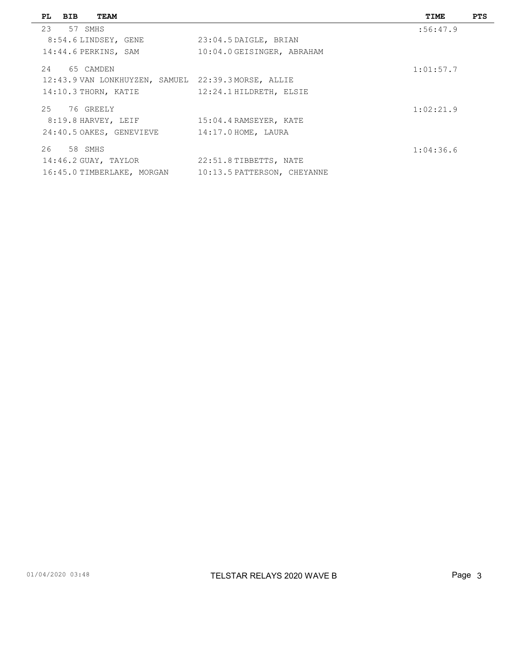|        | PL BIB     | <b>TEAM</b>                                         |                             | TIME      | <b>PTS</b> |
|--------|------------|-----------------------------------------------------|-----------------------------|-----------|------------|
|        | 23 57 SMHS |                                                     |                             | :56:47.9  |            |
|        |            | 8:54.6 LINDSEY, GENE                                | 23:04.5 DAIGLE, BRIAN       |           |            |
|        |            | 14:44.6 PERKINS, SAM                                | 10:04.0 GEISINGER, ABRAHAM  |           |            |
|        |            | 24 65 CAMDEN                                        |                             | 1:01:57.7 |            |
|        |            | 12:43.9 VAN LONKHUYZEN, SAMUEL 22:39.3 MORSE, ALLIE |                             |           |            |
|        |            | 14:10.3 THORN, KATIE                                | 12:24.1 HILDRETH, ELSIE     |           |            |
| $25 -$ |            | 76 GREELY                                           |                             | 1:02:21.9 |            |
|        |            | 8:19.8 HARVEY, LEIF                                 | 15:04.4 RAMSEYER, KATE      |           |            |
|        |            | 24:40.5 OAKES, GENEVIEVE                            | $14:17.0$ HOME, LAURA       |           |            |
|        | 26 58 SMHS |                                                     |                             | 1:04:36.6 |            |
|        |            | 14:46.2 GUAY, TAYLOR                                | 22:51.8 TIBBETTS, NATE      |           |            |
|        |            | 16:45.0 TIMBERLAKE, MORGAN                          | 10:13.5 PATTERSON, CHEYANNE |           |            |
|        |            |                                                     |                             |           |            |

 $\overline{\phantom{0}}$